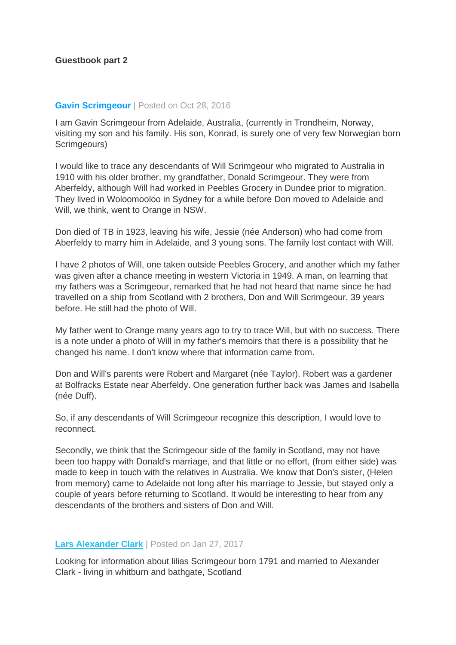## **Gavin Scrimgeour** | Posted on Oct 28, 2016

I am Gavin Scrimgeour from Adelaide, Australia, (currently in Trondheim, Norway, visiting my son and his family. His son, Konrad, is surely one of very few Norwegian born Scrimgeours)

I would like to trace any descendants of Will Scrimgeour who migrated to Australia in 1910 with his older brother, my grandfather, Donald Scrimgeour. They were from Aberfeldy, although Will had worked in Peebles Grocery in Dundee prior to migration. They lived in Woloomooloo in Sydney for a while before Don moved to Adelaide and Will, we think, went to Orange in NSW.

Don died of TB in 1923, leaving his wife, Jessie (née Anderson) who had come from Aberfeldy to marry him in Adelaide, and 3 young sons. The family lost contact with Will.

I have 2 photos of Will, one taken outside Peebles Grocery, and another which my father was given after a chance meeting in western Victoria in 1949. A man, on learning that my fathers was a Scrimgeour, remarked that he had not heard that name since he had travelled on a ship from Scotland with 2 brothers, Don and Will Scrimgeour, 39 years before. He still had the photo of Will.

My father went to Orange many years ago to try to trace Will, but with no success. There is a note under a photo of Will in my father's memoirs that there is a possibility that he changed his name. I don't know where that information came from.

Don and Will's parents were Robert and Margaret (née Taylor). Robert was a gardener at Bolfracks Estate near Aberfeldy. One generation further back was James and Isabella (née Duff).

So, if any descendants of Will Scrimgeour recognize this description, I would love to reconnect.

Secondly, we think that the Scrimgeour side of the family in Scotland, may not have been too happy with Donald's marriage, and that little or no effort, (from either side) was made to keep in touch with the relatives in Australia. We know that Don's sister, (Helen from memory) came to Adelaide not long after his marriage to Jessie, but stayed only a couple of years before returning to Scotland. It would be interesting to hear from any descendants of the brothers and sisters of Don and Will.

## **[Lars Alexander Clark](http://www.altanoghave.dk/clark/clark1.htm)** | Posted on Jan 27, 2017

Looking for information about lilias Scrimgeour born 1791 and married to Alexander Clark - living in whitburn and bathgate, Scotland